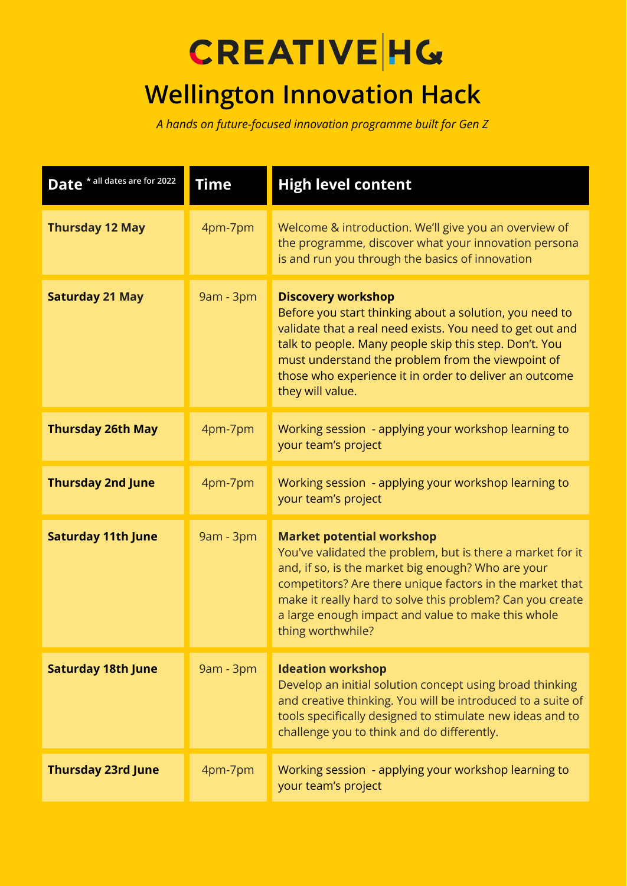## **CREATIVE HG**

## **Wellington Innovation Hack**

*A hands on future-focused innovation programme built for Gen Z*

| Date * all dates are for 2022 | <b>Time</b> | <b>High level content</b>                                                                                                                                                                                                                                                                                                                                |
|-------------------------------|-------------|----------------------------------------------------------------------------------------------------------------------------------------------------------------------------------------------------------------------------------------------------------------------------------------------------------------------------------------------------------|
| <b>Thursday 12 May</b>        | 4pm-7pm     | Welcome & introduction. We'll give you an overview of<br>the programme, discover what your innovation persona<br>is and run you through the basics of innovation                                                                                                                                                                                         |
| <b>Saturday 21 May</b>        | 9am - 3pm   | <b>Discovery workshop</b><br>Before you start thinking about a solution, you need to<br>validate that a real need exists. You need to get out and<br>talk to people. Many people skip this step. Don't. You<br>must understand the problem from the viewpoint of<br>those who experience it in order to deliver an outcome<br>they will value.           |
| <b>Thursday 26th May</b>      | 4pm-7pm     | Working session - applying your workshop learning to<br>your team's project                                                                                                                                                                                                                                                                              |
| <b>Thursday 2nd June</b>      | 4pm-7pm     | Working session - applying your workshop learning to<br>your team's project                                                                                                                                                                                                                                                                              |
| <b>Saturday 11th June</b>     | 9am - 3pm   | <b>Market potential workshop</b><br>You've validated the problem, but is there a market for it<br>and, if so, is the market big enough? Who are your<br>competitors? Are there unique factors in the market that<br>make it really hard to solve this problem? Can you create<br>a large enough impact and value to make this whole<br>thing worthwhile? |
| <b>Saturday 18th June</b>     | 9am - 3pm   | <b>Ideation workshop</b><br>Develop an initial solution concept using broad thinking<br>and creative thinking. You will be introduced to a suite of<br>tools specifically designed to stimulate new ideas and to<br>challenge you to think and do differently.                                                                                           |
| <b>Thursday 23rd June</b>     | 4pm-7pm     | Working session - applying your workshop learning to<br>your team's project                                                                                                                                                                                                                                                                              |